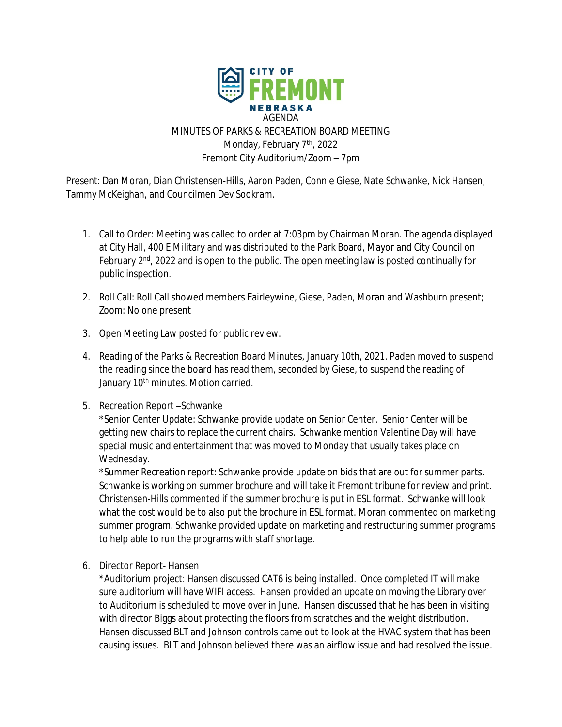

Present: Dan Moran, Dian Christensen-Hills, Aaron Paden, Connie Giese, Nate Schwanke, Nick Hansen, Tammy McKeighan, and Councilmen Dev Sookram.

- 1. Call to Order: Meeting was called to order at 7:03pm by Chairman Moran. The agenda displayed at City Hall, 400 E Military and was distributed to the Park Board, Mayor and City Council on February  $2<sup>nd</sup>$ , 2022 and is open to the public. The open meeting law is posted continually for public inspection.
- 2. Roll Call: Roll Call showed members Eairleywine, Giese, Paden, Moran and Washburn present; Zoom: No one present
- 3. Open Meeting Law posted for public review.
- 4. Reading of the Parks & Recreation Board Minutes, January 10th, 2021. Paden moved to suspend the reading since the board has read them, seconded by Giese, to suspend the reading of January 10<sup>th</sup> minutes. Motion carried.
- 5. Recreation Report –Schwanke

\*Senior Center Update: Schwanke provide update on Senior Center. Senior Center will be getting new chairs to replace the current chairs. Schwanke mention Valentine Day will have special music and entertainment that was moved to Monday that usually takes place on Wednesday.

\*Summer Recreation report: Schwanke provide update on bids that are out for summer parts. Schwanke is working on summer brochure and will take it Fremont tribune for review and print. Christensen-Hills commented if the summer brochure is put in ESL format. Schwanke will look what the cost would be to also put the brochure in ESL format. Moran commented on marketing summer program. Schwanke provided update on marketing and restructuring summer programs to help able to run the programs with staff shortage.

6. Director Report- Hansen

\*Auditorium project: Hansen discussed CAT6 is being installed. Once completed IT will make sure auditorium will have WIFI access. Hansen provided an update on moving the Library over to Auditorium is scheduled to move over in June. Hansen discussed that he has been in visiting with director Biggs about protecting the floors from scratches and the weight distribution. Hansen discussed BLT and Johnson controls came out to look at the HVAC system that has been causing issues. BLT and Johnson believed there was an airflow issue and had resolved the issue.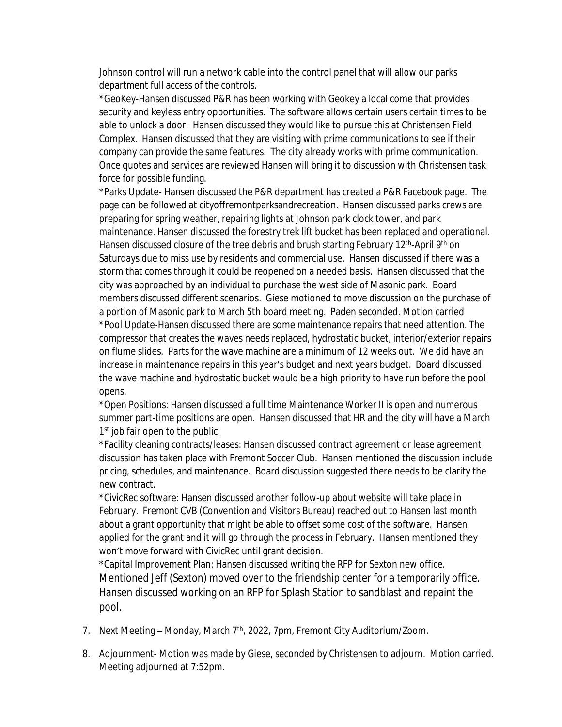Johnson control will run a network cable into the control panel that will allow our parks department full access of the controls.

\*GeoKey-Hansen discussed P&R has been working with Geokey a local come that provides security and keyless entry opportunities. The software allows certain users certain times to be able to unlock a door. Hansen discussed they would like to pursue this at Christensen Field Complex. Hansen discussed that they are visiting with prime communications to see if their company can provide the same features. The city already works with prime communication. Once quotes and services are reviewed Hansen will bring it to discussion with Christensen task force for possible funding.

\*Parks Update- Hansen discussed the P&R department has created a P&R Facebook page. The page can be followed at cityoffremontparksandrecreation. Hansen discussed parks crews are preparing for spring weather, repairing lights at Johnson park clock tower, and park maintenance. Hansen discussed the forestry trek lift bucket has been replaced and operational. Hansen discussed closure of the tree debris and brush starting February 12<sup>th</sup>-April 9<sup>th</sup> on Saturdays due to miss use by residents and commercial use. Hansen discussed if there was a storm that comes through it could be reopened on a needed basis. Hansen discussed that the city was approached by an individual to purchase the west side of Masonic park. Board members discussed different scenarios. Giese motioned to move discussion on the purchase of a portion of Masonic park to March 5th board meeting. Paden seconded. Motion carried \*Pool Update-Hansen discussed there are some maintenance repairs that need attention. The compressor that creates the waves needs replaced, hydrostatic bucket, interior/exterior repairs on flume slides. Parts for the wave machine are a minimum of 12 weeks out. We did have an increase in maintenance repairs in this year's budget and next years budget. Board discussed the wave machine and hydrostatic bucket would be a high priority to have run before the pool opens.

\*Open Positions: Hansen discussed a full time Maintenance Worker II is open and numerous summer part-time positions are open. Hansen discussed that HR and the city will have a March 1<sup>st</sup> job fair open to the public.

\*Facility cleaning contracts/leases: Hansen discussed contract agreement or lease agreement discussion has taken place with Fremont Soccer Club. Hansen mentioned the discussion include pricing, schedules, and maintenance. Board discussion suggested there needs to be clarity the new contract.

\*CivicRec software: Hansen discussed another follow-up about website will take place in February. Fremont CVB (Convention and Visitors Bureau) reached out to Hansen last month about a grant opportunity that might be able to offset some cost of the software. Hansen applied for the grant and it will go through the process in February. Hansen mentioned they won't move forward with CivicRec until grant decision.

\*Capital Improvement Plan: Hansen discussed writing the RFP for Sexton new office. Mentioned Jeff (Sexton) moved over to the friendship center for a temporarily office. Hansen discussed working on an RFP for Splash Station to sandblast and repaint the pool.

- 7. Next Meeting Monday, March 7<sup>th</sup>, 2022, 7pm, Fremont City Auditorium/Zoom.
- 8. Adjournment- Motion was made by Giese, seconded by Christensen to adjourn. Motion carried. Meeting adjourned at 7:52pm.